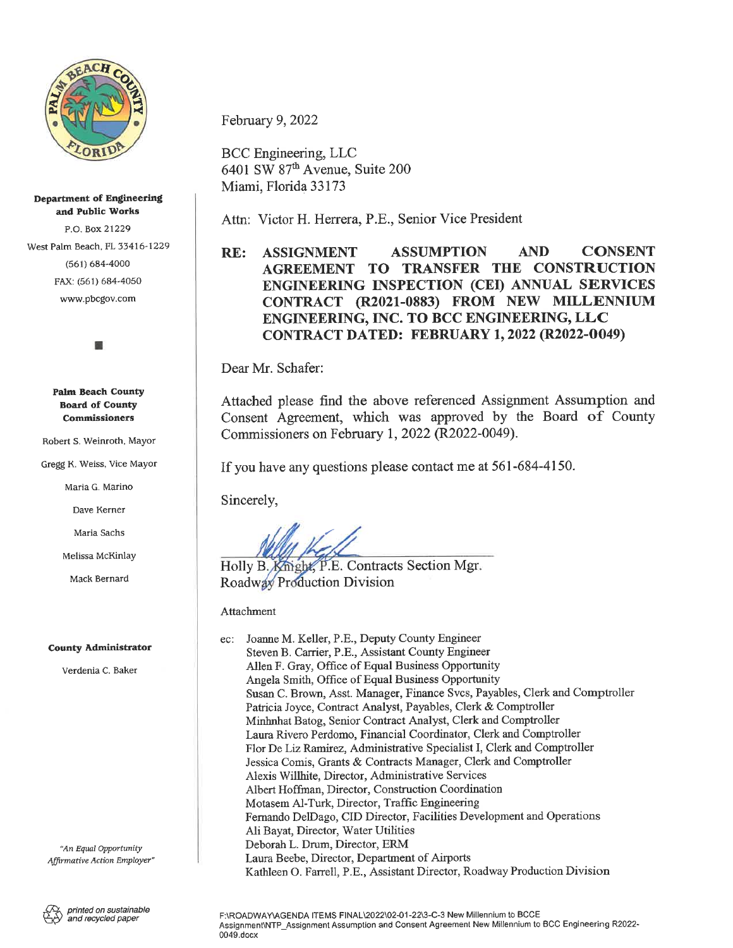

#### **Department of Engineering and Public Works**

P.O. Box 21229 (561) 684-4000 FAX: (561) 684-4050 www.pbcgov.com

#### **Palm Beach County Board of County Commissioners**

Robert S. Weinroth, Mayor

Maria G. Marino

Dave Kerner

Maria Sachs

### **County Administrator**

Verdenia C. Baker

*"An Equal Opportunity Affirmative Action Employer"* February 9, 2022

BCC Engineering, LLC 6401 SW 87th Avenue, Suite 200 Miami, Florida 33173

Attn: Victor H. Herrera, P.E., Senior Vice President

## West Palm Beach, FL 33416-1229 **RE: ASSIGNMENT ASSUMPTION AND CONSENT AGREEMENT TO TRANSFER THE CONSTRUCTION ENGINEERING INSPECTION (CEI) ANNUAL SERVICES CONTRACT (R2021-0883) FROM NEW MILLENNIUM ENGINEERING, INC. TO BCC ENGINEERING, LLC CONTRACT DATED: FEBRUARY 1, 2022 (R2022-0049)**

Dear Mr. Schafer:

Attached <sup>p</sup>lease find the above referenced Assignment Assumption and Consent Agreement, which was approved by the Board of County Commissioners on February 1, 2022 (R2022-0049).

Gregg K. Weiss, Vice Mayor If you have any questions please contact me at 561-684-4150.

Sincerely,

Melissa McKinlay **idea**<br>Holly B. Knight, P.E. Contracts Section Mgr Mack Bernard **Roadway** Production Division

Attachment

| ec: | Joanne M. Keller, P.E., Deputy County Engineer                               |
|-----|------------------------------------------------------------------------------|
|     | Steven B. Carrier, P.E., Assistant County Engineer                           |
|     | Allen F. Gray, Office of Equal Business Opportunity                          |
|     | Angela Smith, Office of Equal Business Opportunity                           |
|     | Susan C. Brown, Asst. Manager, Finance Svcs, Payables, Clerk and Comptroller |
|     | Patricia Joyce, Contract Analyst, Payables, Clerk & Comptroller              |
|     | Minhnhat Batog, Senior Contract Analyst, Clerk and Comptroller               |
|     | Laura Rivero Perdomo, Financial Coordinator, Clerk and Comptroller           |
|     | Flor De Liz Ramirez, Administrative Specialist I, Clerk and Comptroller      |
|     | Jessica Comis, Grants & Contracts Manager, Clerk and Comptroller             |
|     | Alexis Willhite, Director, Administrative Services                           |
|     | Albert Hoffman, Director, Construction Coordination                          |
|     | Motasem Al-Turk, Director, Traffic Engineering                               |
|     | Fernando DelDago, CID Director, Facilities Development and Operations        |
|     | Ali Bavat, Director, Water Utilities                                         |
|     | Deborah L. Drum, Director, ERM                                               |
|     | Laura Beebe, Director, Department of Airports                                |
|     | Kathleen O. Farrell, P.E., Assistant Director, Roadway Production Division   |

*and recycled paper* <sup>F</sup>:\ROADWAY\AGENDA ITEMS FINAL\2022\02-01-22\3-C-<sup>3</sup> New Millennium to BCCE Assignment\NTP\_Assignment Assumption and Consent Agreement New Millennium to BCC Engineering <sup>R</sup>2022- 0049.docx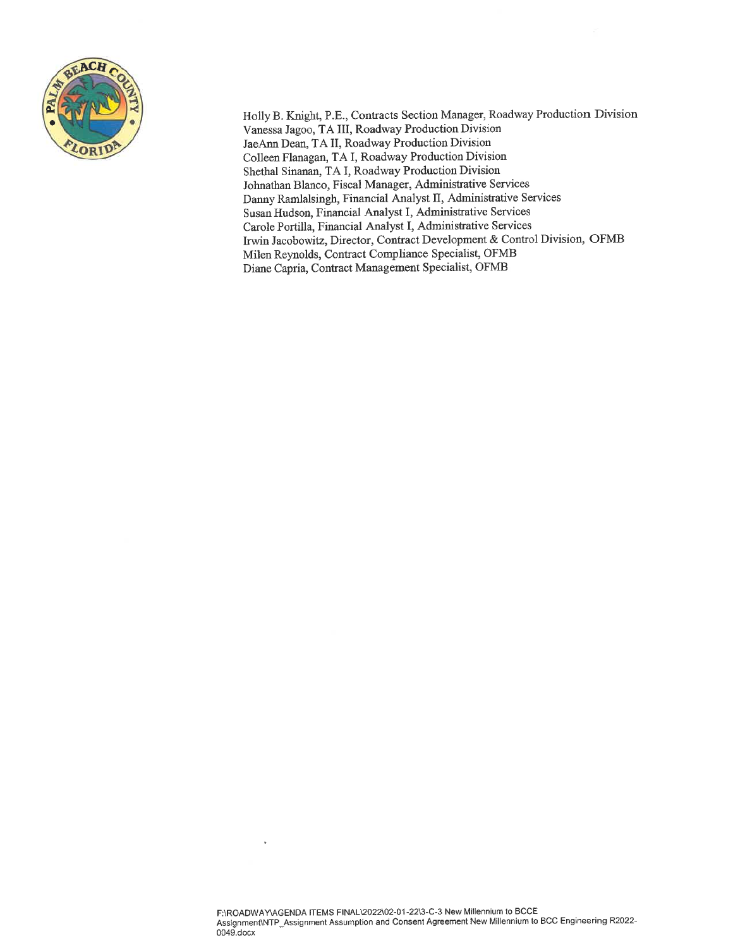

Holly <sup>B</sup>. Knight, P.E., Contracts Section Manager, Roadway Production Division Vanessa Jagoo, TA III, Roadway Production Division JaeAnn Dean, TA II, Roadway Production Division Colleen Flanagan, TA I, Roadway Production Division Shethal Sinanan, TA I, Roadway Production Division Johnathan Blanco, Fiscal Manager, Administrative Services Danny Ramlalsingh, Financial Analyst II, Administrative Services Susan Hudson, Financial Analyst I, Administrative Services Carole Portilla, Financial Analyst I, Administrative Services Irwin Jacobowitz, Director, Contract Development & Control Division, OFMB Milen Reynolds, Contract Compliance Specialist, OFMB Diane Capria, Contract Management Specialist, OFMB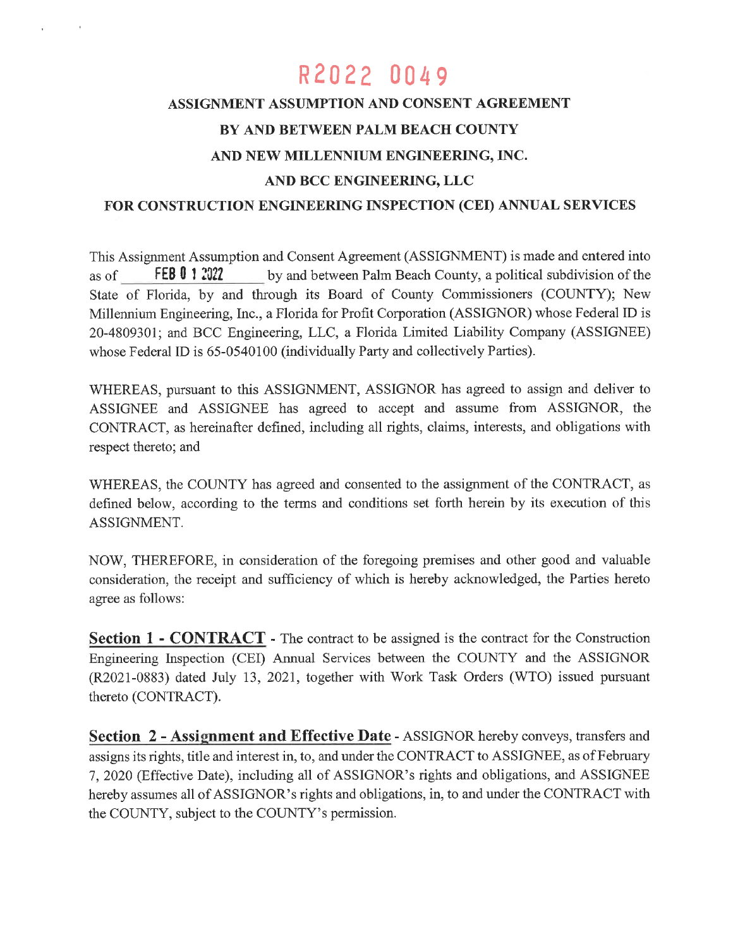# R 2022 0049

## **ASSIGNMENT ASSUMPTION AND CONSENT AGREEMENT BY AND BETWEEN PALM BEACH COUNTY AND NEW MILLENNIUM ENGINEERING, INC. AND BCC ENGINEERING, LLC**

### **FOR CONSTRUCTION ENGINEERING INSPECTION (CEI) ANNUAL SERVICES**

This Assignment Assumption and Consent Agreement (ASSIGNMENT) is made and entered into as of State of Florida, by and through its Board of County Commissioners (COUNTY); New Millennium Engineering, Inc., <sup>a</sup> Florida for Profit Corporation (ASSIGNOR) whose Federal ID is 20-4809301; and BCC Engineering, LLC, <sup>a</sup> Florida Limited Liability Company (ASSIGNEE) whose Federal ID is 65-0540100 (individually Party and collectively Parties). **FEB 0 12022** by and between Palm Beach County, <sup>a</sup> political subdivision of the

WHEREAS, pursuan<sup>t</sup> to this ASSIGNMENT, ASSIGNOR has agreed to assign and deliver to ASSIGNEE and ASSIGNEE has agreed to accep<sup>t</sup> and assume from ASSIGNOR, the CONTRACT, as hereinafter defined, including all rights, claims, interests, and obligations with respec<sup>t</sup> thereto; and

WHEREAS, the COUNTY has agreed and consented to the assignment of the CONTRACT, as defined below, according to the terms and conditions set forth herein by its execution of this ASSIGNMENT.

NOW, THEREFORE, in consideration of the foregoing premises and other good and valuable consideration, the receipt and sufficiency of which is hereby acknowledged, the Parties hereto agree as follows:

**Section 1 - CONTRACT** - The contract to be assigned is the contract for the Construction Engineering Inspection (CEI) Annual Services between the COUNTY and the ASSIGNOR (R2021-0883) dated July 13, 2021, together with Work Task Orders (WTO) issued pursuan<sup>t</sup> thereto (CONTRACT).

**Section 2 - Assignment and Effective Date** - ASSIGNOR hereby conveys, transfers and assigns its rights, title and interest in, to, and under the CONTRACT to ASSIGNEE, as of February 7, 2020 (Effective Date), including all of ASSIGNOR'<sup>S</sup> rights and obligations, and ASSIGNEE hereby assumes all of ASSIGNOR'<sup>S</sup> rights and obligations, in, to and under the CONTRACT with the COUNTY, subject to the COUNTY's permission.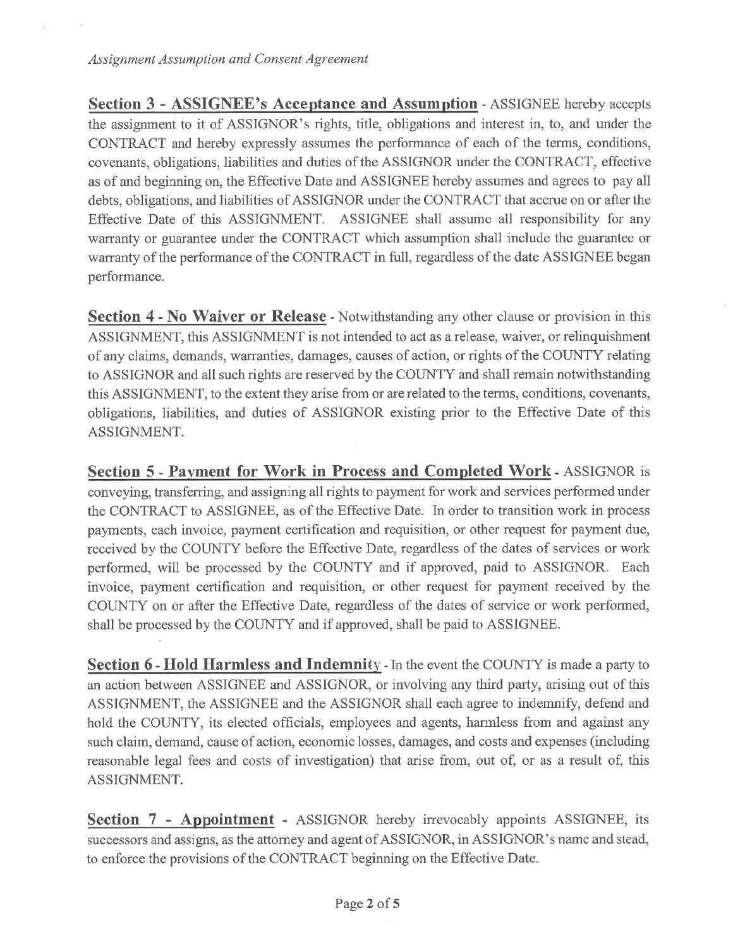**Section 3 - ASSIGNEE'S Acceptance and Assumption** - ASSIGNEE hereby accepts the assignment to it of ASSIGNOR'S rights, title, obligations and interest in, to, and under the CONTRACT and hereby expressly assumes the performance of each of the terms, conditions, covenants, obligations, liabilities and duties of the ASSIGNOR under the CONTRACT, effective as of and beginning on, the Effective Date and ASSIGNEE hereby assumes and agrees to pay all debts, obligations, and liabilities of ASSIGNOR under the CONTRACT that accrue on or after the Effective Date of this ASSIGNMENT. ASSIGNEE shall assume all responsibility for any warranty or guarantee under the CONTRACT which assumption shall include the guarantee or warranty of the performance of the CONTRACT in full, regardless of the date ASSIGNEE began performance.

**Section 4 - No Waiver or Release** - Notwithstanding any other clause or provision in this ASSIGNMENT, this ASSIGNMENT is not intended to act as a release, waiver, or relinquishment of any claims, demands, warranties, damages, causes of action, or rights of the COUNTY relating to ASSIGNOR and all such rights are reserved by the COUNTY and shall remain notwithstanding this ASSIGNMENT, to the extent they arise from or are related to the terms, conditions, covenants, obligations, liabilities, and duties of ASSIGNOR existing prior to the Effective Date of this ASSIGNMENT.

**Section 5 - Payment for Work in Process and Completed Work** - ASSIGNOR is conveying, transferring, and assigning all rights to payment for work and services performed under the CONTRACT to ASSIGNEE, as of the Effective Date. In order to transition work in process payments, each invoice, payment certification and requisition, or other request for payment due, received by the COUNTY before the Effective Date, regardless of the dates of services or work performed, will be processed by the COUNTY and if approved, paid to ASSIGNOR. Each invoice, payment certification and requisition, or other request for payment received by the COUNTY on or after the Effective Date, regardless of the dates of service or work performed, shall be processed by the COUNTY and if approved, shall be paid to ASSIGNEE.

**Section 6 - Hold Harmless and Indemnity** - In the event the COUNTY is made a party to an action between ASSIGNEE and ASSIGNOR, or involving any third party, arising out of this ASSIGNMENT, the ASSIGNEE and the ASSIGNOR shall each agree to indemnify, defend and hold the COUNTY, its elected officials, employees and agents, harmless from and against any such claim, demand, cause of action, economic losses, damages, and costs and expenses (including reasonable legal fees and costs of investigation) that arise from, out of, or as a result of, this ASSIGNMENT.

**Section 7 - Appointment** - ASSIGNOR hereby irrevocably appoints ASSIGNEE, its successors and assigns, as the attorney and agent of ASSIGNOR, in ASSIGNOR'S name and stead, to enforce the provisions of the CONTRACT beginning on the Effective Date.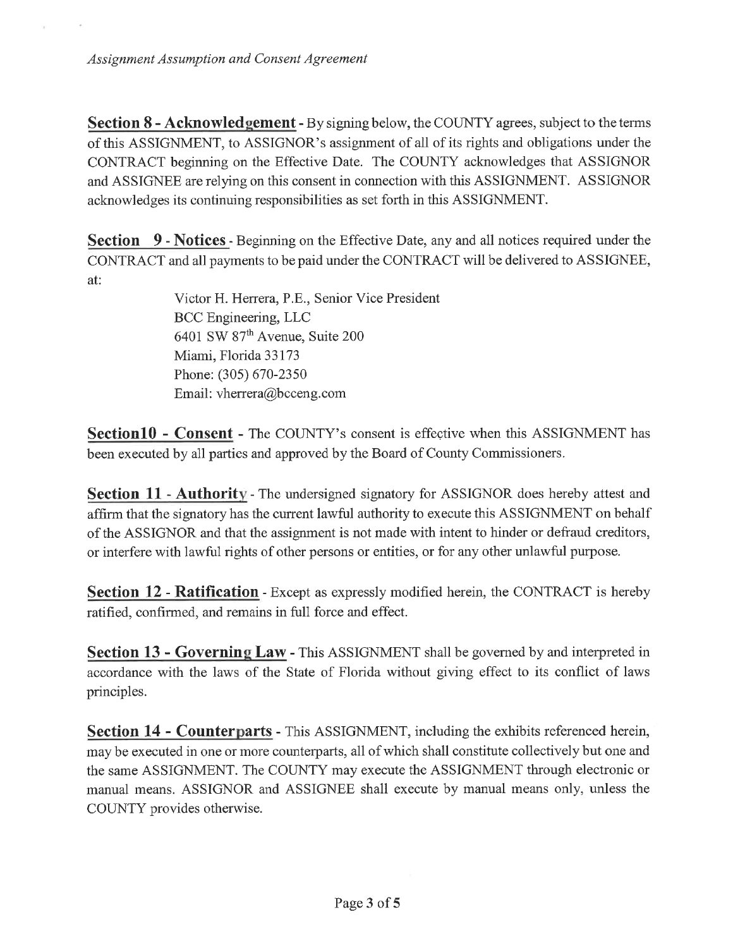**Section 8 - Acknowledgement** - By signing below, the COUNTY agrees, subject to the terms of this ASSIGNMENT, to ASSIGNOR'<sup>S</sup> assignment of all of its rights and obligations under the CONTRACT beginning on the Effective Date. The COUNTY acknowledges that ASSIGNOR and ASSIGNEE are relying on this consent in connection with this ASSIGNMENT. ASSIGNOR acknowledges its continuing responsibilities as set forth in this ASSIGNMENT.

**Section 9 - Notices**- Beginning on the Effective Date, any and all notices required under the CONTRACT and all payments to be paid under the CONTRACT will be delivered to ASSIGNEE, at:

> Victor H. Herrera, P.E., Senior Vice President BCC Engineering, LLC 6401 SW 87<sup>th</sup> Avenue, Suite 200 Miami, Florida 33173 Phone:(305) 670-2350 Email: vherrera@bcceng.com

**SectionlO - Consent** - The COUNTY'S consent is effective when this ASSIGNMENT has been executed by all parties and approved by the Board of County Commissioners.

**Section 11 - Authority** - The undersigned signatory for ASSIGNOR does hereby attest and affirm that the signatory has the current lawful authority to execute this ASSIGNMENT on behalf of the ASSIGNOR and that the assignment is not made with intent to hinder or defraud creditors, or interfere with lawful rights of other persons or entities, or for any other unlawful purpose.

**Section 12 - Ratification** - Except as expressly modified herein, the CONTRACT is hereby ratified, confirmed, and remains in full force and effect.

**Section 13 - Governing Law** - This ASSIGNMENT shall be governed by and interpreted in accordance with the laws of the State of Florida without giving effect to its conflict of laws principles.

**Section 14 - Counterparts** - This ASSIGNMENT, including the exhibits referenced herein, may be executed in one or more counterparts, all of which shall constitute collectively but one and the same ASSIGNMENT. The COUNTY may execute the ASSIGNMENT through electronic or manual means. ASSIGNOR and ASSIGNEE shall execute by manual means only, unless the COUNTY provides otherwise.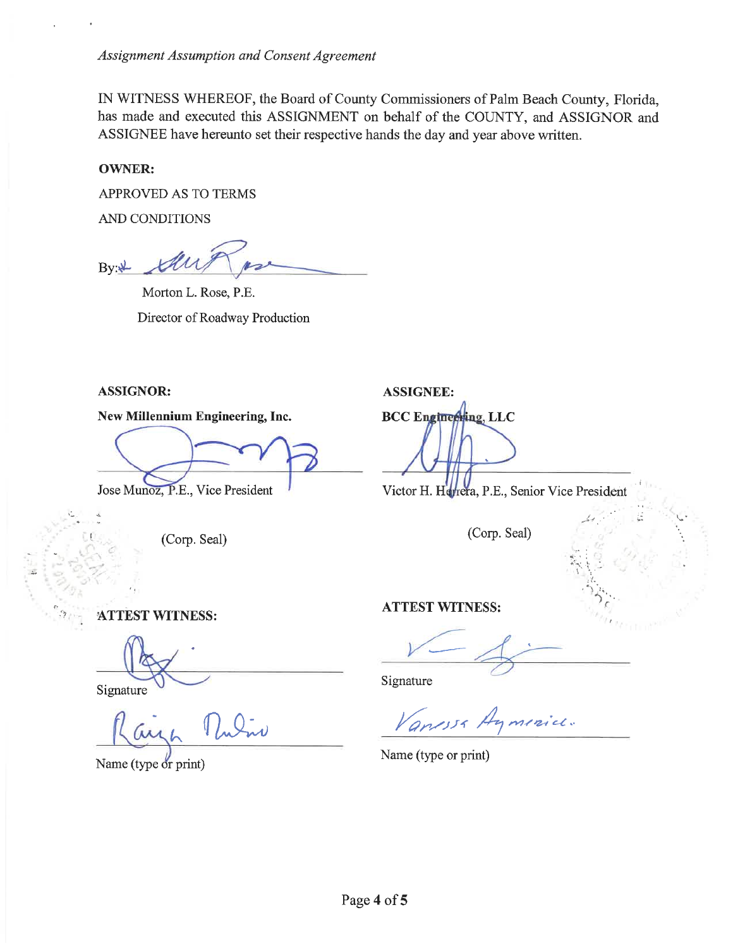IN WITNESS WHEREOF, the Board of County Commissioners of Palm Beach County, Florida, has made and executed this ASSIGNMENT on behalf of the COUNTY, and ASSIGNOR and ASSIGNEE have hereunto set their respective hands the day and year above written.

### **OWNER:**

APPROVED AS TO TERMS

AND CONDITIONS

By:پ

Morton L. Rose, P.E. Director of Roadway Production

### **ASSIGNOR: ASSIGNEE:**

**New Millennium Engineering, Inc.** BCC Engineering, LLC

*t* (Corp. Seal)

Jose Munoz, P.E., Vice President<br>

Victor H. Htyrera, P.E., Senior Vice President

**. i**

i£

(Corp. Seal)

**ATTEST WITNESS:**

Signature Signature

*( UKA)*

Name (type or print)

**ATTEST WITNESS:**

Vanessa Aymenice.

Name (type or print)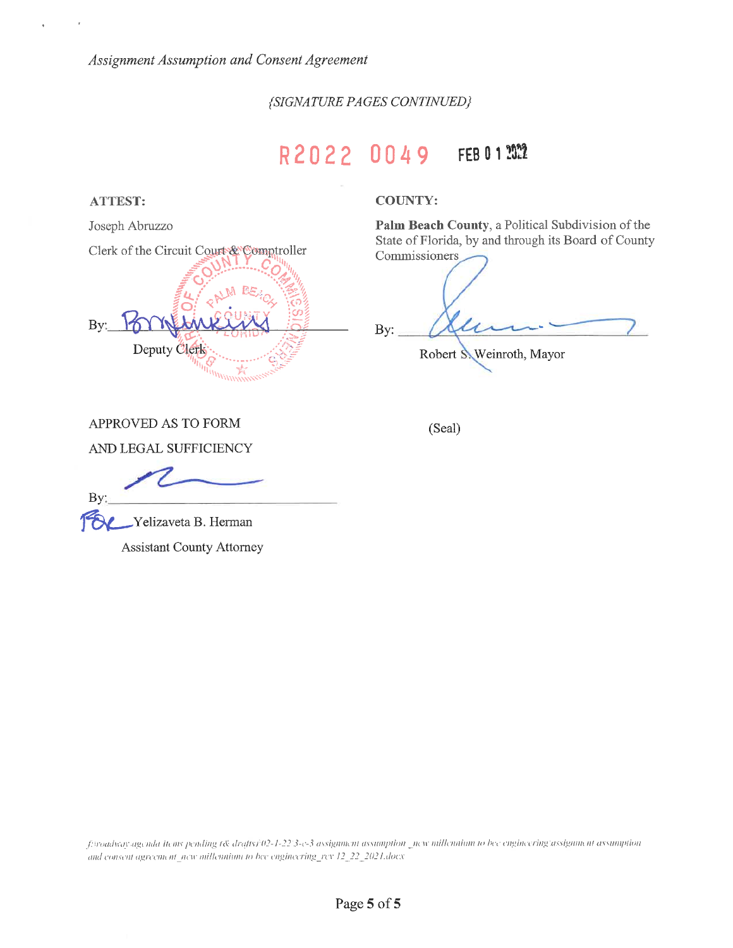*{SIGNATURE PAGES CONTINUED}*

## **<sup>R</sup> 2 0 2 2 0 0 4 9 FEBOI 33**



**Palm Beach County,** a Political Subdivision of the State of Florida, by and through its Board of County Commissioners

-—

Robert S. Weinroth, Mayor

APPROVED AS TO FORM (Seal)

AND LEGAL SUFFICIENCY

By:

- Yelizaveta B. Herman **FE** 

Assistant County Attorney

f:woadway.agenda items pending 1& drafts1\02-1-22\3-c-3 assignment assumption \_new millennium to bee engineering\assignment assumption *and eonsenl agreeim nl new millennium to bee engineuingj-ev 12 22 2021.does*